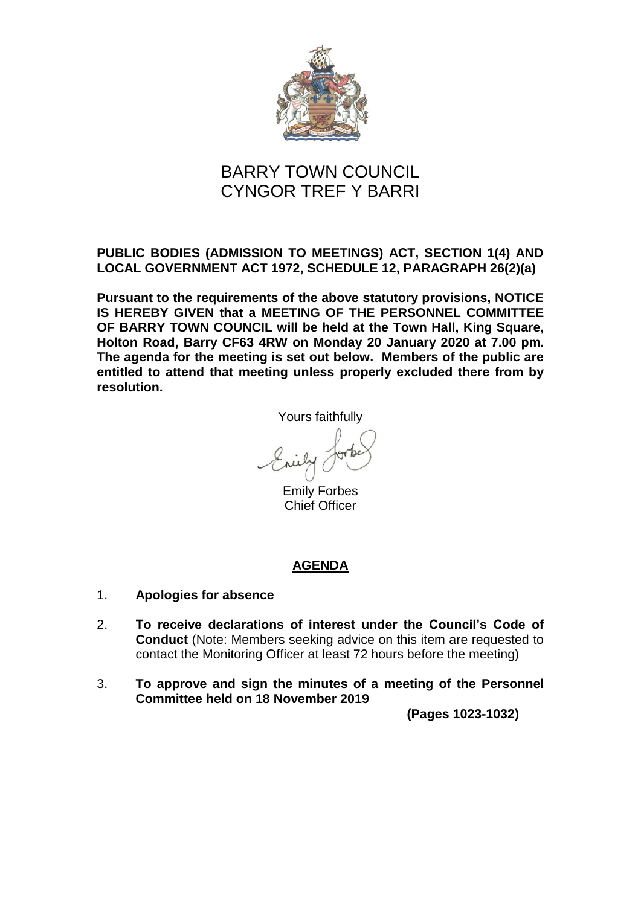

# BARRY TOWN COUNCIL CYNGOR TREF Y BARRI

# **PUBLIC BODIES (ADMISSION TO MEETINGS) ACT, SECTION 1(4) AND LOCAL GOVERNMENT ACT 1972, SCHEDULE 12, PARAGRAPH 26(2)(a)**

**Pursuant to the requirements of the above statutory provisions, NOTICE IS HEREBY GIVEN that a MEETING OF THE PERSONNEL COMMITTEE OF BARRY TOWN COUNCIL will be held at the Town Hall, King Square, Holton Road, Barry CF63 4RW on Monday 20 January 2020 at 7.00 pm. The agenda for the meeting is set out below. Members of the public are entitled to attend that meeting unless properly excluded there from by resolution.**

Yours faithfully

Erily

Emily Forbes Chief Officer

# **AGENDA**

- 1. **Apologies for absence**
- 2. **To receive declarations of interest under the Council's Code of Conduct** (Note: Members seeking advice on this item are requested to contact the Monitoring Officer at least 72 hours before the meeting)
- 3. **To approve and sign the minutes of a meeting of the Personnel Committee held on 18 November 2019**

**(Pages 1023-1032)**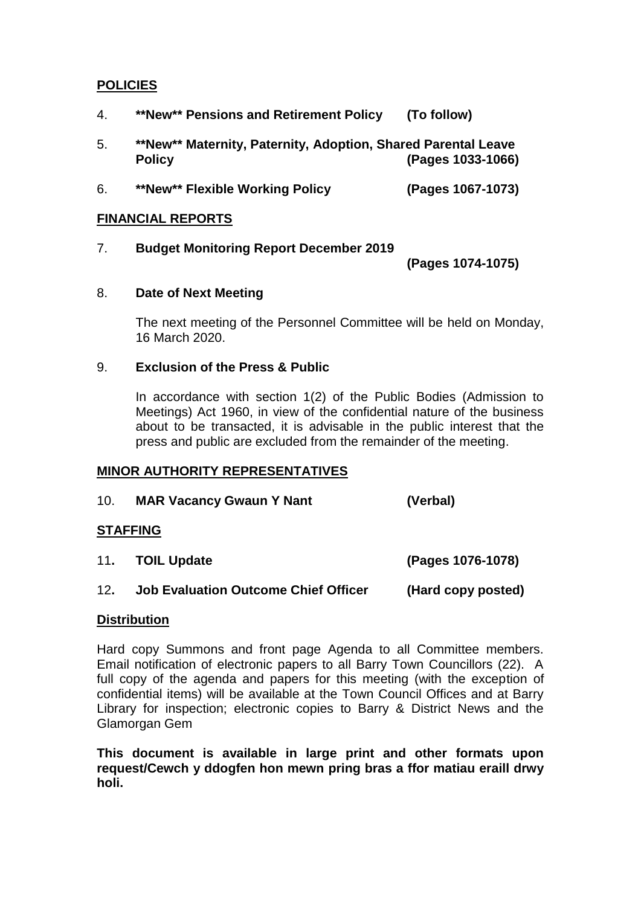## **POLICIES**

- 4. **\*\*New\*\* Pensions and Retirement Policy (To follow)**
- 5. **\*\*New\*\* Maternity, Paternity, Adoption, Shared Parental Leave Policy (Pages 1033-1066)**
- 6. **\*\*New\*\* Flexible Working Policy (Pages 1067-1073)**

### **FINANCIAL REPORTS**

7. **Budget Monitoring Report December 2019**

**(Pages 1074-1075)**

### 8. **Date of Next Meeting**

The next meeting of the Personnel Committee will be held on Monday, 16 March 2020.

### 9. **Exclusion of the Press & Public**

In accordance with section 1(2) of the Public Bodies (Admission to Meetings) Act 1960, in view of the confidential nature of the business about to be transacted, it is advisable in the public interest that the press and public are excluded from the remainder of the meeting.

### **MINOR AUTHORITY REPRESENTATIVES**

10. **MAR Vacancy Gwaun Y Nant (Verbal)**

### **STAFFING**

- 11**. TOIL Update (Pages 1076-1078)**
- 12**. Job Evaluation Outcome Chief Officer (Hard copy posted)**

### **Distribution**

Hard copy Summons and front page Agenda to all Committee members. Email notification of electronic papers to all Barry Town Councillors (22). A full copy of the agenda and papers for this meeting (with the exception of confidential items) will be available at the Town Council Offices and at Barry Library for inspection; electronic copies to Barry & District News and the Glamorgan Gem

**This document is available in large print and other formats upon request/Cewch y ddogfen hon mewn pring bras a ffor matiau eraill drwy holi.**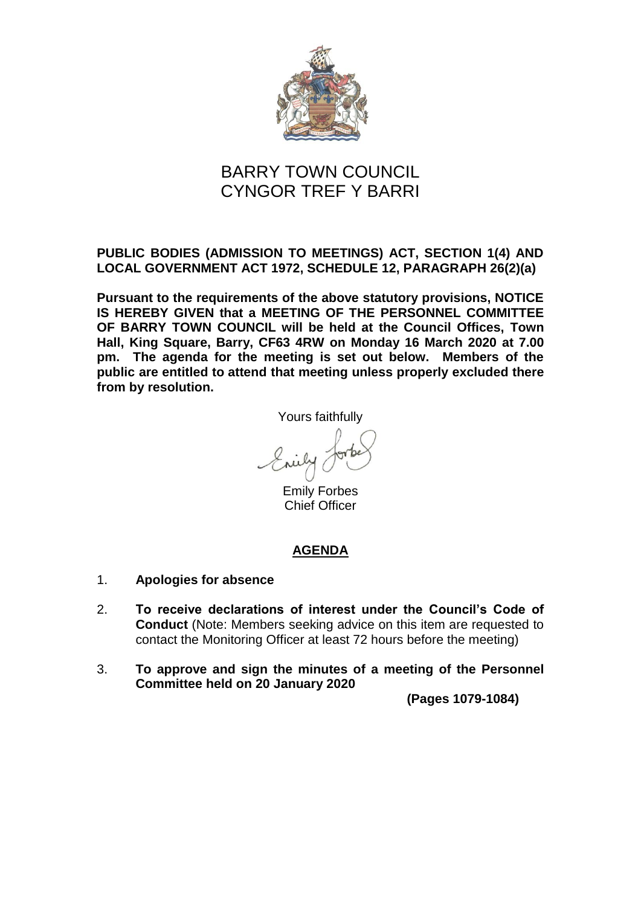

# BARRY TOWN COUNCIL CYNGOR TREF Y BARRI

# **PUBLIC BODIES (ADMISSION TO MEETINGS) ACT, SECTION 1(4) AND LOCAL GOVERNMENT ACT 1972, SCHEDULE 12, PARAGRAPH 26(2)(a)**

**Pursuant to the requirements of the above statutory provisions, NOTICE IS HEREBY GIVEN that a MEETING OF THE PERSONNEL COMMITTEE OF BARRY TOWN COUNCIL will be held at the Council Offices, Town Hall, King Square, Barry, CF63 4RW on Monday 16 March 2020 at 7.00 pm. The agenda for the meeting is set out below. Members of the public are entitled to attend that meeting unless properly excluded there from by resolution.**

Yours faithfully

Emily Forbes Chief Officer

# **AGENDA**

- 1. **Apologies for absence**
- 2. **To receive declarations of interest under the Council's Code of Conduct** (Note: Members seeking advice on this item are requested to contact the Monitoring Officer at least 72 hours before the meeting)
- 3. **To approve and sign the minutes of a meeting of the Personnel Committee held on 20 January 2020**

**(Pages 1079-1084)**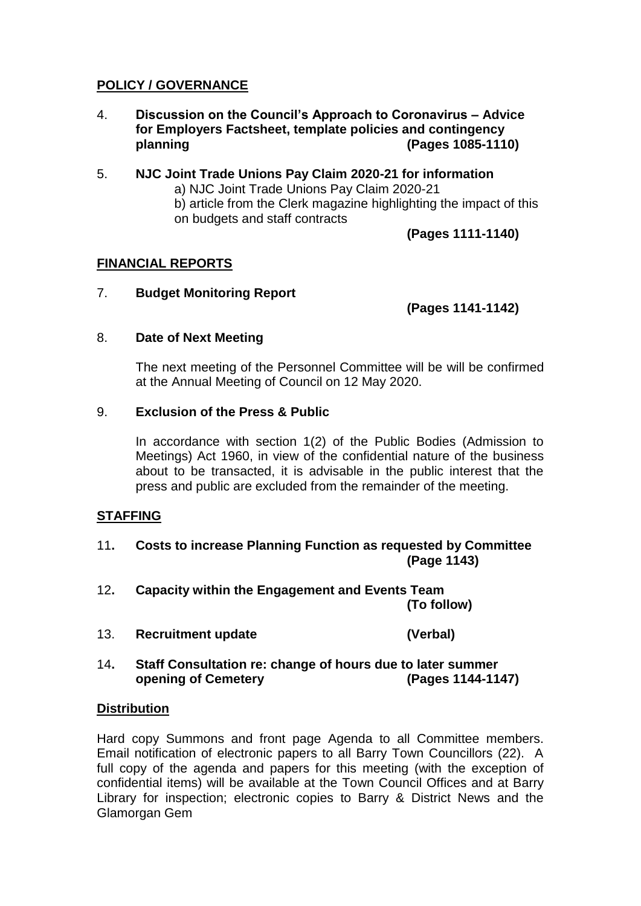# **POLICY / GOVERNANCE**

- 4. **Discussion on the Council's Approach to Coronavirus – Advice for Employers Factsheet, template policies and contingency planning (Pages 1085-1110)**
- 5. **NJC Joint Trade Unions Pay Claim 2020-21 for information** a) NJC Joint Trade Unions Pay Claim 2020-21 b) article from the Clerk magazine highlighting the impact of this on budgets and staff contracts

**(Pages 1111-1140)**

## **FINANCIAL REPORTS**

## 7. **Budget Monitoring Report**

**(Pages 1141-1142)**

### 8. **Date of Next Meeting**

The next meeting of the Personnel Committee will be will be confirmed at the Annual Meeting of Council on 12 May 2020.

### 9. **Exclusion of the Press & Public**

In accordance with section 1(2) of the Public Bodies (Admission to Meetings) Act 1960, in view of the confidential nature of the business about to be transacted, it is advisable in the public interest that the press and public are excluded from the remainder of the meeting.

### **STAFFING**

- 11**. Costs to increase Planning Function as requested by Committee (Page 1143)**
- 12**. Capacity within the Engagement and Events Team (To follow)**
- 13. **Recruitment update (Verbal)**
- 14**. Staff Consultation re: change of hours due to later summer opening of Cemetery (Pages 1144-1147)**

### **Distribution**

Hard copy Summons and front page Agenda to all Committee members. Email notification of electronic papers to all Barry Town Councillors (22). A full copy of the agenda and papers for this meeting (with the exception of confidential items) will be available at the Town Council Offices and at Barry Library for inspection; electronic copies to Barry & District News and the Glamorgan Gem